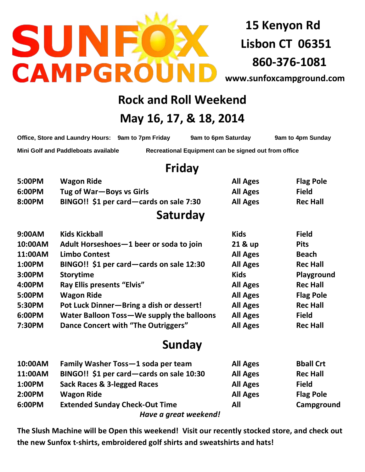

**15 Kenyon Rd Lisbon CT 06351 860-376-1081**

**[www.sunfoxcampground.com](http://www.sunfoxcampground.com/)**

# **Rock and Roll Weekend**

## **May 16, 17, & 18, 2014**

| Office, Store and Laundry Hours: 9am to 7pm Friday | 9am to 6pm Saturday                                  | 9am to 4pm Sunday |
|----------------------------------------------------|------------------------------------------------------|-------------------|
| Mini Golf and Paddleboats available                | Recreational Equipment can be signed out from office |                   |

#### **Friday**

| 5:00PM  | <b>Wagon Ride</b>                         | <b>All Ages</b> | <b>Flag Pole</b> |
|---------|-------------------------------------------|-----------------|------------------|
| 6:00PM  | Tug of War-Boys vs Girls                  | <b>All Ages</b> | <b>Field</b>     |
| 8:00PM  | BINGO!! \$1 per card—cards on sale 7:30   | <b>All Ages</b> | <b>Rec Hall</b>  |
|         | Saturday                                  |                 |                  |
| 9:00AM  | <b>Kids Kickball</b>                      | <b>Kids</b>     | <b>Field</b>     |
| 10:00AM | Adult Horseshoes-1 beer or soda to join   | 21 & up         | <b>Pits</b>      |
| 11:00AM | <b>Limbo Contest</b>                      | <b>All Ages</b> | <b>Beach</b>     |
| 1:00PM  | BINGO!! \$1 per card—cards on sale 12:30  | <b>All Ages</b> | <b>Rec Hall</b>  |
| 3:00PM  | <b>Storytime</b>                          | <b>Kids</b>     | Playground       |
| 4:00PM  | <b>Ray Ellis presents "Elvis"</b>         | <b>All Ages</b> | <b>Rec Hall</b>  |
| 5:00PM  | <b>Wagon Ride</b>                         | <b>All Ages</b> | <b>Flag Pole</b> |
| 5:30PM  | Pot Luck Dinner-Bring a dish or dessert!  | <b>All Ages</b> | <b>Rec Hall</b>  |
| 6:00PM  | Water Balloon Toss-We supply the balloons | <b>All Ages</b> | <b>Field</b>     |
| 7:30PM  | Dance Concert with "The Outriggers"       | <b>All Ages</b> | <b>Rec Hall</b>  |

## **Sunday**

| 10:00AM | Family Washer Toss-1 soda per team       | <b>All Ages</b> | <b>Bball Crt</b> |
|---------|------------------------------------------|-----------------|------------------|
| 11:00AM | BINGO!! \$1 per card—cards on sale 10:30 | <b>All Ages</b> | <b>Rec Hall</b>  |
| 1:00PM  | Sack Races & 3-legged Races              | <b>All Ages</b> | <b>Field</b>     |
| 2:00PM  | <b>Wagon Ride</b>                        | <b>All Ages</b> | <b>Flag Pole</b> |
| 6:00PM  | <b>Extended Sunday Check-Out Time</b>    | All             | Campground       |
|         | Have a great weekend!                    |                 |                  |

**The Slush Machine will be Open this weekend! Visit our recently stocked store, and check out the new Sunfox t-shirts, embroidered golf shirts and sweatshirts and hats!**